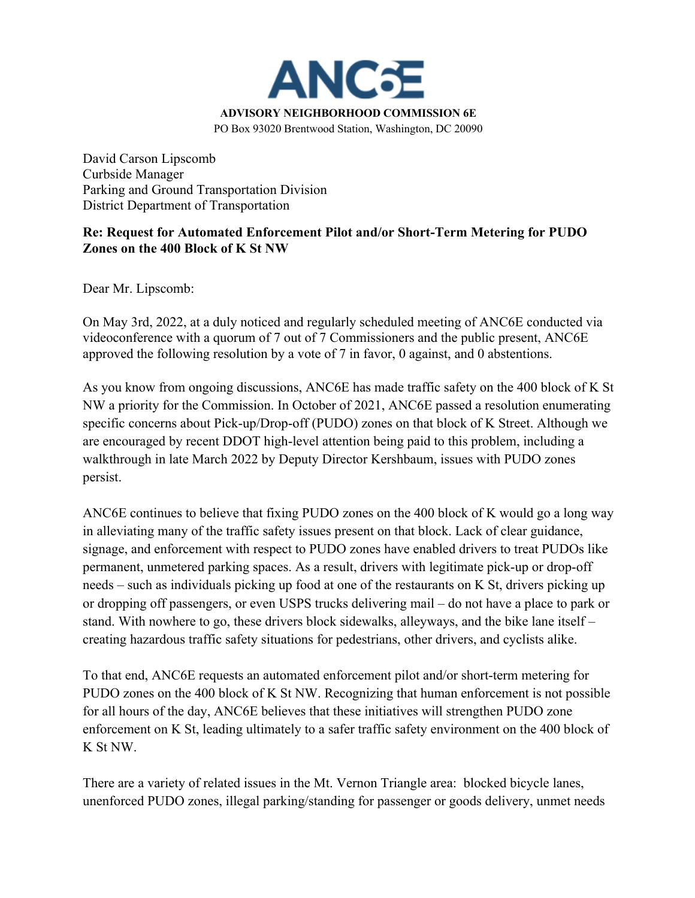

David Carson Lipscomb Curbside Manager Parking and Ground Transportation Division District Department of Transportation

## **Re: Request for Automated Enforcement Pilot and/or Short-Term Metering for PUDO Zones on the 400 Block of K St NW**

Dear Mr. Lipscomb:

On May 3rd, 2022, at a duly noticed and regularly scheduled meeting of ANC6E conducted via videoconference with a quorum of 7 out of 7 Commissioners and the public present, ANC6E approved the following resolution by a vote of 7 in favor, 0 against, and 0 abstentions.

As you know from ongoing discussions, ANC6E has made traffic safety on the 400 block of K St NW a priority for the Commission. In October of 2021, ANC6E passed a resolution enumerating specific concerns about Pick-up/Drop-off (PUDO) zones on that block of K Street. Although we are encouraged by recent DDOT high-level attention being paid to this problem, including a walkthrough in late March 2022 by Deputy Director Kershbaum, issues with PUDO zones persist.

ANC6E continues to believe that fixing PUDO zones on the 400 block of K would go a long way in alleviating many of the traffic safety issues present on that block. Lack of clear guidance, signage, and enforcement with respect to PUDO zones have enabled drivers to treat PUDOs like permanent, unmetered parking spaces. As a result, drivers with legitimate pick-up or drop-off needs – such as individuals picking up food at one of the restaurants on K St, drivers picking up or dropping off passengers, or even USPS trucks delivering mail – do not have a place to park or stand. With nowhere to go, these drivers block sidewalks, alleyways, and the bike lane itself – creating hazardous traffic safety situations for pedestrians, other drivers, and cyclists alike.

To that end, ANC6E requests an automated enforcement pilot and/or short-term metering for PUDO zones on the 400 block of K St NW. Recognizing that human enforcement is not possible for all hours of the day, ANC6E believes that these initiatives will strengthen PUDO zone enforcement on K St, leading ultimately to a safer traffic safety environment on the 400 block of K St NW.

There are a variety of related issues in the Mt. Vernon Triangle area: blocked bicycle lanes, unenforced PUDO zones, illegal parking/standing for passenger or goods delivery, unmet needs